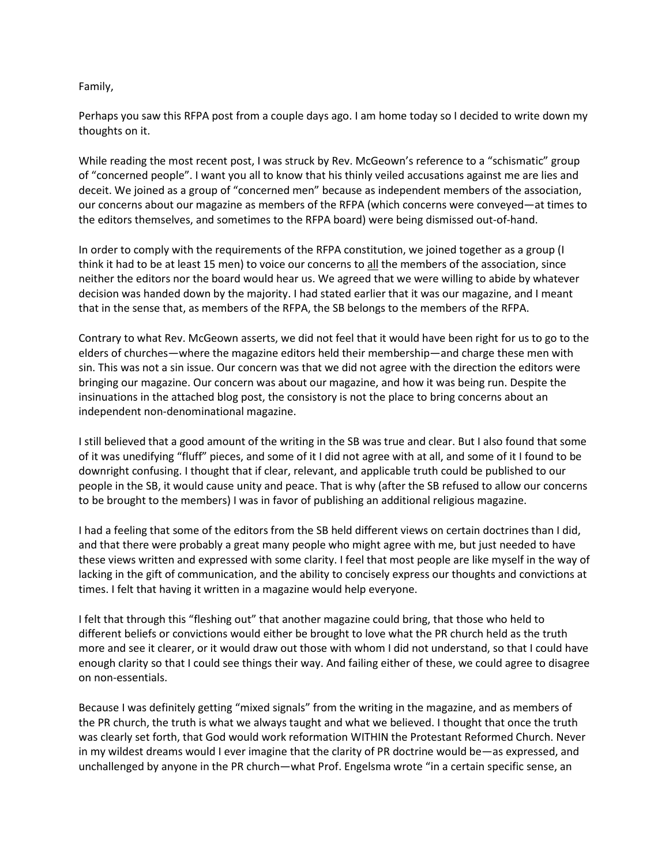## Family,

Perhaps you saw this RFPA post from a couple days ago. I am home today so I decided to write down my thoughts on it.

While reading the most recent post, I was struck by Rev. McGeown's reference to a "schismatic" group of "concerned people". I want you all to know that his thinly veiled accusations against me are lies and deceit. We joined as a group of "concerned men" because as independent members of the association, our concerns about our magazine as members of the RFPA (which concerns were conveyed—at times to the editors themselves, and sometimes to the RFPA board) were being dismissed out-of-hand.

In order to comply with the requirements of the RFPA constitution, we joined together as a group (I think it had to be at least 15 men) to voice our concerns to all the members of the association, since neither the editors nor the board would hear us. We agreed that we were willing to abide by whatever decision was handed down by the majority. I had stated earlier that it was our magazine, and I meant that in the sense that, as members of the RFPA, the SB belongs to the members of the RFPA.

Contrary to what Rev. McGeown asserts, we did not feel that it would have been right for us to go to the elders of churches—where the magazine editors held their membership—and charge these men with sin. This was not a sin issue. Our concern was that we did not agree with the direction the editors were bringing our magazine. Our concern was about our magazine, and how it was being run. Despite the insinuations in the attached blog post, the consistory is not the place to bring concerns about an independent non-denominational magazine.

I still believed that a good amount of the writing in the SB was true and clear. But I also found that some of it was unedifying "fluff" pieces, and some of it I did not agree with at all, and some of it I found to be downright confusing. I thought that if clear, relevant, and applicable truth could be published to our people in the SB, it would cause unity and peace. That is why (after the SB refused to allow our concerns to be brought to the members) I was in favor of publishing an additional religious magazine.

I had a feeling that some of the editors from the SB held different views on certain doctrines than I did, and that there were probably a great many people who might agree with me, but just needed to have these views written and expressed with some clarity. I feel that most people are like myself in the way of lacking in the gift of communication, and the ability to concisely express our thoughts and convictions at times. I felt that having it written in a magazine would help everyone.

I felt that through this "fleshing out" that another magazine could bring, that those who held to different beliefs or convictions would either be brought to love what the PR church held as the truth more and see it clearer, or it would draw out those with whom I did not understand, so that I could have enough clarity so that I could see things their way. And failing either of these, we could agree to disagree on non-essentials.

Because I was definitely getting "mixed signals" from the writing in the magazine, and as members of the PR church, the truth is what we always taught and what we believed. I thought that once the truth was clearly set forth, that God would work reformation WITHIN the Protestant Reformed Church. Never in my wildest dreams would I ever imagine that the clarity of PR doctrine would be—as expressed, and unchallenged by anyone in the PR church—what Prof. Engelsma wrote "in a certain specific sense, an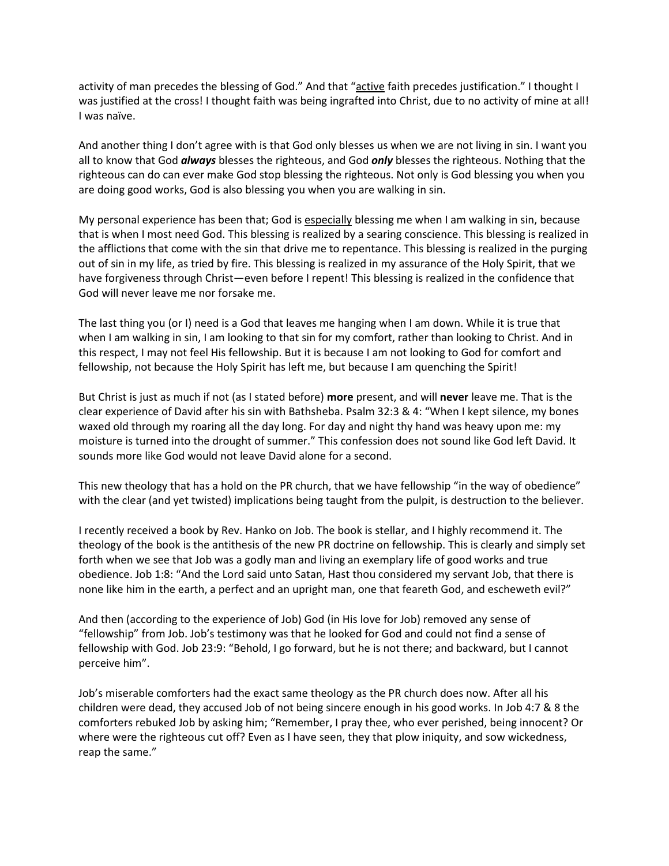activity of man precedes the blessing of God." And that "active faith precedes justification." I thought I was justified at the cross! I thought faith was being ingrafted into Christ, due to no activity of mine at all! I was naïve.

And another thing I don't agree with is that God only blesses us when we are not living in sin. I want you all to know that God *always* blesses the righteous, and God *only* blesses the righteous. Nothing that the righteous can do can ever make God stop blessing the righteous. Not only is God blessing you when you are doing good works, God is also blessing you when you are walking in sin.

My personal experience has been that; God is especially blessing me when I am walking in sin, because that is when I most need God. This blessing is realized by a searing conscience. This blessing is realized in the afflictions that come with the sin that drive me to repentance. This blessing is realized in the purging out of sin in my life, as tried by fire. This blessing is realized in my assurance of the Holy Spirit, that we have forgiveness through Christ—even before I repent! This blessing is realized in the confidence that God will never leave me nor forsake me.

The last thing you (or I) need is a God that leaves me hanging when I am down. While it is true that when I am walking in sin, I am looking to that sin for my comfort, rather than looking to Christ. And in this respect, I may not feel His fellowship. But it is because I am not looking to God for comfort and fellowship, not because the Holy Spirit has left me, but because I am quenching the Spirit!

But Christ is just as much if not (as I stated before) **more** present, and will **never** leave me. That is the clear experience of David after his sin with Bathsheba. Psalm 32:3 & 4: "When I kept silence, my bones waxed old through my roaring all the day long. For day and night thy hand was heavy upon me: my moisture is turned into the drought of summer." This confession does not sound like God left David. It sounds more like God would not leave David alone for a second.

This new theology that has a hold on the PR church, that we have fellowship "in the way of obedience" with the clear (and yet twisted) implications being taught from the pulpit, is destruction to the believer.

I recently received a book by Rev. Hanko on Job. The book is stellar, and I highly recommend it. The theology of the book is the antithesis of the new PR doctrine on fellowship. This is clearly and simply set forth when we see that Job was a godly man and living an exemplary life of good works and true obedience. Job 1:8: "And the Lord said unto Satan, Hast thou considered my servant Job, that there is none like him in the earth, a perfect and an upright man, one that feareth God, and escheweth evil?"

And then (according to the experience of Job) God (in His love for Job) removed any sense of "fellowship" from Job. Job's testimony was that he looked for God and could not find a sense of fellowship with God. Job 23:9: "Behold, I go forward, but he is not there; and backward, but I cannot perceive him".

Job's miserable comforters had the exact same theology as the PR church does now. After all his children were dead, they accused Job of not being sincere enough in his good works. In Job 4:7 & 8 the comforters rebuked Job by asking him; "Remember, I pray thee, who ever perished, being innocent? Or where were the righteous cut off? Even as I have seen, they that plow iniquity, and sow wickedness, reap the same."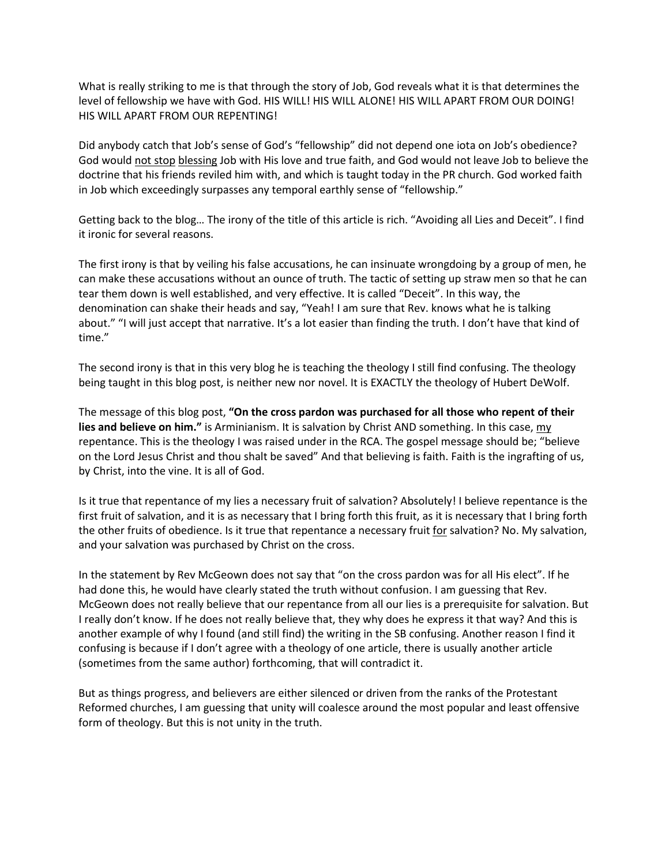What is really striking to me is that through the story of Job, God reveals what it is that determines the level of fellowship we have with God. HIS WILL! HIS WILL ALONE! HIS WILL APART FROM OUR DOING! HIS WILL APART FROM OUR REPENTING!

Did anybody catch that Job's sense of God's "fellowship" did not depend one iota on Job's obedience? God would not stop blessing Job with His love and true faith, and God would not leave Job to believe the doctrine that his friends reviled him with, and which is taught today in the PR church. God worked faith in Job which exceedingly surpasses any temporal earthly sense of "fellowship."

Getting back to the blog… The irony of the title of this article is rich. "Avoiding all Lies and Deceit". I find it ironic for several reasons.

The first irony is that by veiling his false accusations, he can insinuate wrongdoing by a group of men, he can make these accusations without an ounce of truth. The tactic of setting up straw men so that he can tear them down is well established, and very effective. It is called "Deceit". In this way, the denomination can shake their heads and say, "Yeah! I am sure that Rev. knows what he is talking about." "I will just accept that narrative. It's a lot easier than finding the truth. I don't have that kind of time."

The second irony is that in this very blog he is teaching the theology I still find confusing. The theology being taught in this blog post, is neither new nor novel. It is EXACTLY the theology of Hubert DeWolf.

The message of this blog post, **"On the cross pardon was purchased for all those who repent of their lies and believe on him."** is Arminianism. It is salvation by Christ AND something. In this case, my repentance. This is the theology I was raised under in the RCA. The gospel message should be; "believe on the Lord Jesus Christ and thou shalt be saved" And that believing is faith. Faith is the ingrafting of us, by Christ, into the vine. It is all of God.

Is it true that repentance of my lies a necessary fruit of salvation? Absolutely! I believe repentance is the first fruit of salvation, and it is as necessary that I bring forth this fruit, as it is necessary that I bring forth the other fruits of obedience. Is it true that repentance a necessary fruit for salvation? No. My salvation, and your salvation was purchased by Christ on the cross.

In the statement by Rev McGeown does not say that "on the cross pardon was for all His elect". If he had done this, he would have clearly stated the truth without confusion. I am guessing that Rev. McGeown does not really believe that our repentance from all our lies is a prerequisite for salvation. But I really don't know. If he does not really believe that, they why does he express it that way? And this is another example of why I found (and still find) the writing in the SB confusing. Another reason I find it confusing is because if I don't agree with a theology of one article, there is usually another article (sometimes from the same author) forthcoming, that will contradict it.

But as things progress, and believers are either silenced or driven from the ranks of the Protestant Reformed churches, I am guessing that unity will coalesce around the most popular and least offensive form of theology. But this is not unity in the truth.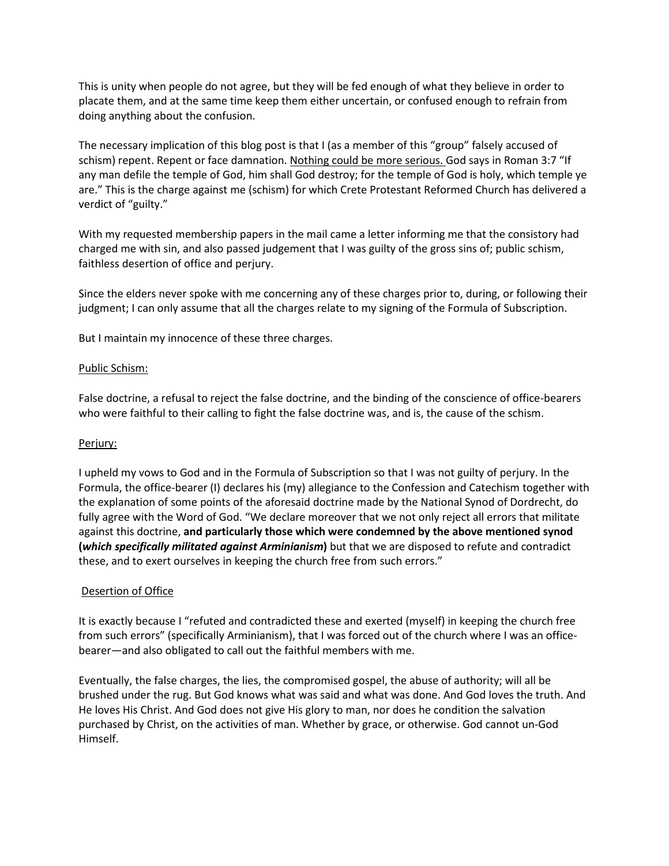This is unity when people do not agree, but they will be fed enough of what they believe in order to placate them, and at the same time keep them either uncertain, or confused enough to refrain from doing anything about the confusion.

The necessary implication of this blog post is that I (as a member of this "group" falsely accused of schism) repent. Repent or face damnation. Nothing could be more serious. God says in Roman 3:7 "If any man defile the temple of God, him shall God destroy; for the temple of God is holy, which temple ye are." This is the charge against me (schism) for which Crete Protestant Reformed Church has delivered a verdict of "guilty."

With my requested membership papers in the mail came a letter informing me that the consistory had charged me with sin, and also passed judgement that I was guilty of the gross sins of; public schism, faithless desertion of office and perjury.

Since the elders never spoke with me concerning any of these charges prior to, during, or following their judgment; I can only assume that all the charges relate to my signing of the Formula of Subscription.

But I maintain my innocence of these three charges.

## Public Schism:

False doctrine, a refusal to reject the false doctrine, and the binding of the conscience of office-bearers who were faithful to their calling to fight the false doctrine was, and is, the cause of the schism.

## Perjury:

I upheld my vows to God and in the Formula of Subscription so that I was not guilty of perjury. In the Formula, the office-bearer (I) declares his (my) allegiance to the Confession and Catechism together with the explanation of some points of the aforesaid doctrine made by the National Synod of Dordrecht, do fully agree with the Word of God. "We declare moreover that we not only reject all errors that militate against this doctrine, **and particularly those which were condemned by the above mentioned synod (***which specifically militated against Arminianism***)** but that we are disposed to refute and contradict these, and to exert ourselves in keeping the church free from such errors."

## Desertion of Office

It is exactly because I "refuted and contradicted these and exerted (myself) in keeping the church free from such errors" (specifically Arminianism), that I was forced out of the church where I was an officebearer—and also obligated to call out the faithful members with me.

Eventually, the false charges, the lies, the compromised gospel, the abuse of authority; will all be brushed under the rug. But God knows what was said and what was done. And God loves the truth. And He loves His Christ. And God does not give His glory to man, nor does he condition the salvation purchased by Christ, on the activities of man. Whether by grace, or otherwise. God cannot un-God Himself.